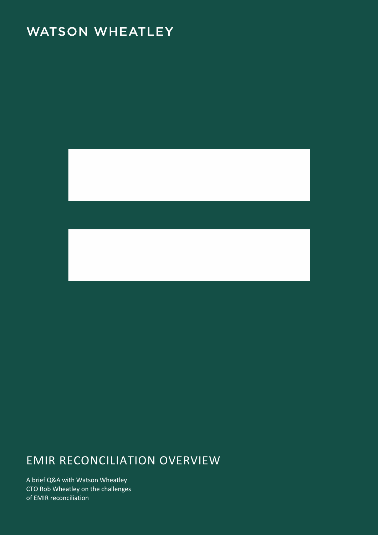# **WATSON WHEATLEY**

# EMIR RECONCILIATION OVERVIEW

A brief Q&A with Watson Wheatley CTO Rob Wheatley on the challenges of EMIR reconciliation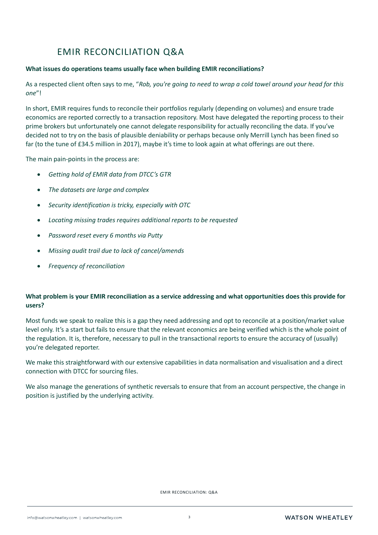### EMIR RECONCILIATION Q&A

#### **What issues do operations teams usually face when building EMIR reconciliations?**

As a respected client often says to me, "*Rob, you're going to need to wrap a cold towel around your head for this one*"!

In short, EMIR requires funds to reconcile their portfolios regularly (depending on volumes) and ensure trade economics are reported correctly to a transaction repository. Most have delegated the reporting process to their prime brokers but unfortunately one cannot delegate responsibility for actually reconciling the data. If you've decided not to try on the basis of plausible deniability or perhaps because only Merrill Lynch has been fined so far (to the tune of £34.5 million in 2017), maybe it's time to look again at what offerings are out there.

The main pain-points in the process are:

- *Getting hold of EMIR data from DTCC's GTR*
- *The datasets are large and complex*
- *Security identification is tricky, especially with OTC*
- *Locating missing trades requires additional reports to be requested*
- *Password reset every 6 months via Putty*
- *Missing audit trail due to lack of cancel/amends*
- *Frequency of reconciliation*

### **What problem is your EMIR reconciliation as a service addressing and what opportunities does this provide for users?**

Most funds we speak to realize this is a gap they need addressing and opt to reconcile at a position/market value level only. It's a start but fails to ensure that the relevant economics are being verified which is the whole point of the regulation. It is, therefore, necessary to pull in the transactional reports to ensure the accuracy of (usually) you're delegated reporter.

We make this straightforward with our extensive capabilities in data normalisation and visualisation and a direct connection with DTCC for sourcing files.

We also manage the generations of synthetic reversals to ensure that from an account perspective, the change in position is justified by the underlying activity.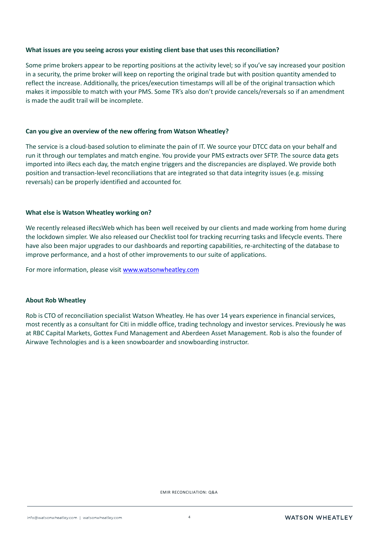#### **What issues are you seeing across your existing client base that uses this reconciliation?**

Some prime brokers appear to be reporting positions at the activity level; so if you've say increased your position in a security, the prime broker will keep on reporting the original trade but with position quantity amended to reflect the increase. Additionally, the prices/execution timestamps will all be of the original transaction which makes it impossible to match with your PMS. Some TR's also don't provide cancels/reversals so if an amendment is made the audit trail will be incomplete.

#### **Can you give an overview of the new offering from Watson Wheatley?**

The service is a cloud-based solution to eliminate the pain of IT. We source your DTCC data on your behalf and run it through our templates and match engine. You provide your PMS extracts over SFTP. The source data gets imported into iRecs each day, the match engine triggers and the discrepancies are displayed. We provide both position and transaction-level reconciliations that are integrated so that data integrity issues (e.g. missing reversals) can be properly identified and accounted for.

#### **What else is Watson Wheatley working on?**

We recently released iRecsWeb which has been well received by our clients and made working from home during the lockdown simpler. We also released our Checklist tool for tracking recurring tasks and lifecycle events. There have also been major upgrades to our dashboards and reporting capabilities, re-architecting of the database to improve performance, and a host of other improvements to our suite of applications.

For more information, please visi[t www.watsonwheatley.com](http://www.watsonwheatley.com/)

#### **About Rob Wheatley**

Rob is CTO of reconciliation specialist Watson Wheatley. He has over 14 years experience in financial services, most recently as a consultant for Citi in middle office, trading technology and investor services. Previously he was at RBC Capital Markets, Gottex Fund Management and Aberdeen Asset Management. Rob is also the founder of Airwave Technologies and is a keen snowboarder and snowboarding instructor.

EMIR RECONCILIATION: Q&A